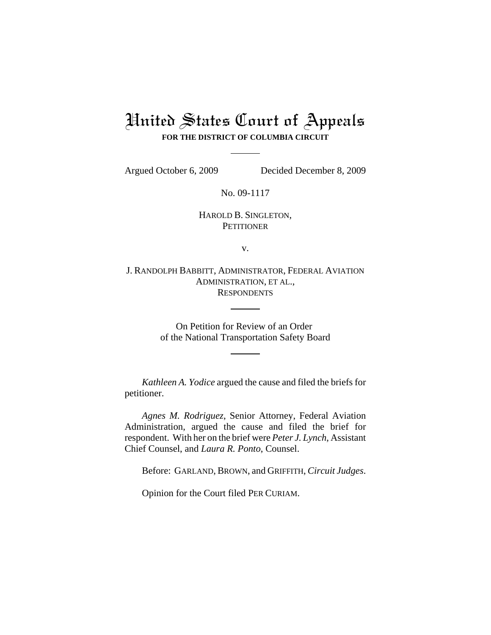## United States Court of Appeals **FOR THE DISTRICT OF COLUMBIA CIRCUIT**

Argued October 6, 2009 Decided December 8, 2009

No. 09-1117

HAROLD B. SINGLETON, **PETITIONER** 

v.

J. RANDOLPH BABBITT, ADMINISTRATOR, FEDERAL AVIATION ADMINISTRATION, ET AL., **RESPONDENTS** 

> On Petition for Review of an Order of the National Transportation Safety Board

*Kathleen A. Yodice* argued the cause and filed the briefs for petitioner.

*Agnes M. Rodriguez*, Senior Attorney, Federal Aviation Administration, argued the cause and filed the brief for respondent. With her on the brief were *Peter J. Lynch*, Assistant Chief Counsel, and *Laura R. Ponto*, Counsel.

Before: GARLAND, BROWN, and GRIFFITH, *Circuit Judges*.

Opinion for the Court filed PER CURIAM.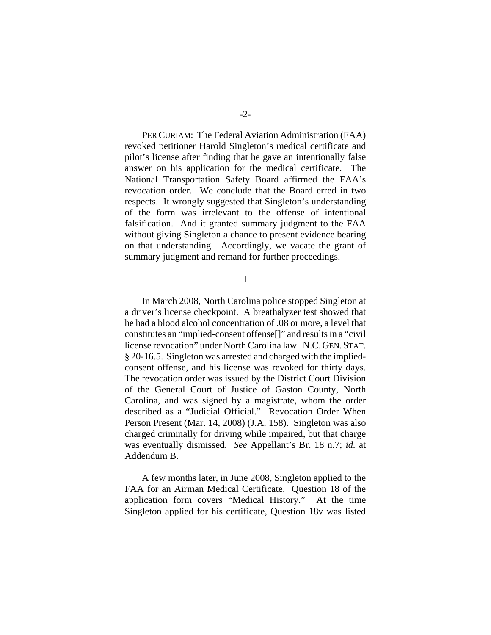PER CURIAM: The Federal Aviation Administration (FAA) revoked petitioner Harold Singleton's medical certificate and pilot's license after finding that he gave an intentionally false answer on his application for the medical certificate. The National Transportation Safety Board affirmed the FAA's revocation order. We conclude that the Board erred in two respects. It wrongly suggested that Singleton's understanding of the form was irrelevant to the offense of intentional falsification. And it granted summary judgment to the FAA without giving Singleton a chance to present evidence bearing on that understanding. Accordingly, we vacate the grant of summary judgment and remand for further proceedings.

I

In March 2008, North Carolina police stopped Singleton at a driver's license checkpoint.A breathalyzer test showed that he had a blood alcohol concentration of .08 or more, a level that constitutes an "implied-consent offense[]" and results in a "civil license revocation" under North Carolina law. N.C.GEN.STAT. § 20-16.5. Singleton was arrested and charged with the impliedconsent offense, and his license was revoked for thirty days. The revocation order was issued by the District Court Division of the General Court of Justice of Gaston County, North Carolina, and was signed by a magistrate, whom the order described as a "Judicial Official." Revocation Order When Person Present (Mar. 14, 2008) (J.A. 158). Singleton was also charged criminally for driving while impaired, but that charge was eventually dismissed. *See* Appellant's Br. 18 n.7; *id.* at Addendum B.

A few months later, in June 2008, Singleton applied to the FAA for an Airman Medical Certificate. Question 18 of the application form covers "Medical History." At the time Singleton applied for his certificate, Question 18v was listed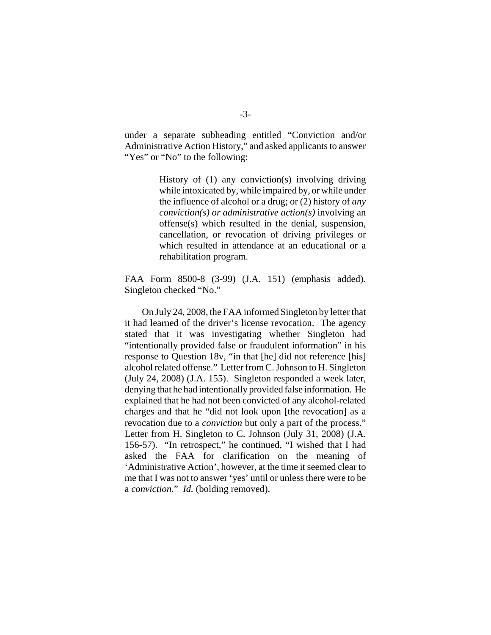under a separate subheading entitled "Conviction and/or Administrative Action History," and asked applicants to answer "Yes" or "No" to the following:

> History of (1) any conviction(s) involving driving while intoxicated by, while impaired by, or while under the influence of alcohol or a drug; or (2) history of *any conviction(s) or administrative action(s)* involving an offense(s) which resulted in the denial, suspension, cancellation, or revocation of driving privileges or which resulted in attendance at an educational or a rehabilitation program.

FAA Form 8500-8 (3-99) (J.A. 151) (emphasis added). Singleton checked "No."

On July 24, 2008, the FAA informed Singleton by letter that it had learned of the driver's license revocation. The agency stated that it was investigating whether Singleton had "intentionally provided false or fraudulent information" in his response to Question 18v, "in that [he] did not reference [his] alcohol related offense." Letter from C. Johnson to H. Singleton (July 24, 2008) (J.A. 155). Singleton responded a week later, denying that he had intentionally provided false information. He explained that he had not been convicted of any alcohol-related charges and that he "did not look upon [the revocation] as a revocation due to a *conviction* but only a part of the process." Letter from H. Singleton to C. Johnson (July 31, 2008) (J.A. 156-57). "In retrospect," he continued, "I wished that I had asked the FAA for clarification on the meaning of 'Administrative Action', however, at the time it seemed clear to me that I was not to answer 'yes' until or unless there were to be a *conviction*." *Id.* (bolding removed).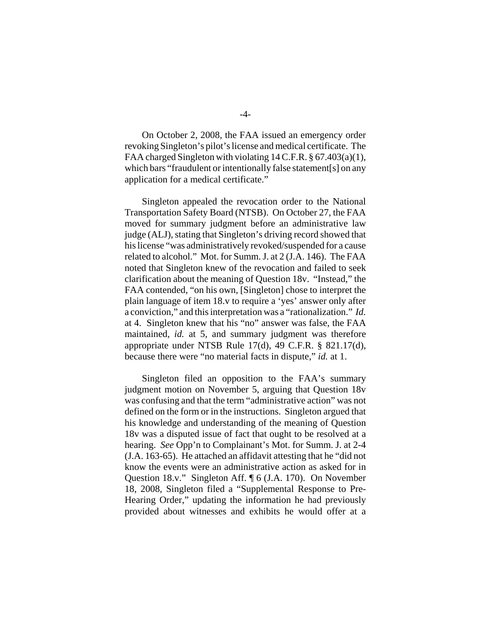On October 2, 2008, the FAA issued an emergency order revoking Singleton's pilot's license and medical certificate. The FAA charged Singleton with violating 14 C.F.R. § 67.403(a)(1), which bars "fraudulent or intentionally false statement[s] on any application for a medical certificate."

Singleton appealed the revocation order to the National Transportation Safety Board (NTSB). On October 27, the FAA moved for summary judgment before an administrative law judge (ALJ), stating that Singleton's driving record showed that his license "was administratively revoked/suspended for a cause related to alcohol." Mot. for Summ. J. at 2 (J.A. 146). The FAA noted that Singleton knew of the revocation and failed to seek clarification about the meaning of Question 18v. "Instead," the FAA contended, "on his own, [Singleton] chose to interpret the plain language of item 18.v to require a 'yes' answer only after a conviction," and this interpretation was a "rationalization." *Id.* at 4. Singleton knew that his "no" answer was false, the FAA maintained, *id.* at 5, and summary judgment was therefore appropriate under NTSB Rule 17(d), 49 C.F.R. § 821.17(d), because there were "no material facts in dispute," *id.* at 1.

Singleton filed an opposition to the FAA's summary judgment motion on November 5, arguing that Question 18v was confusing and that the term "administrative action" was not defined on the form or in the instructions. Singleton argued that his knowledge and understanding of the meaning of Question 18v was a disputed issue of fact that ought to be resolved at a hearing. *See* Opp'n to Complainant's Mot. for Summ. J. at 2-4 (J.A. 163-65). He attached an affidavit attesting that he "did not know the events were an administrative action as asked for in Question 18.v." Singleton Aff. ¶ 6 (J.A. 170). On November 18, 2008, Singleton filed a "Supplemental Response to Pre-Hearing Order," updating the information he had previously provided about witnesses and exhibits he would offer at a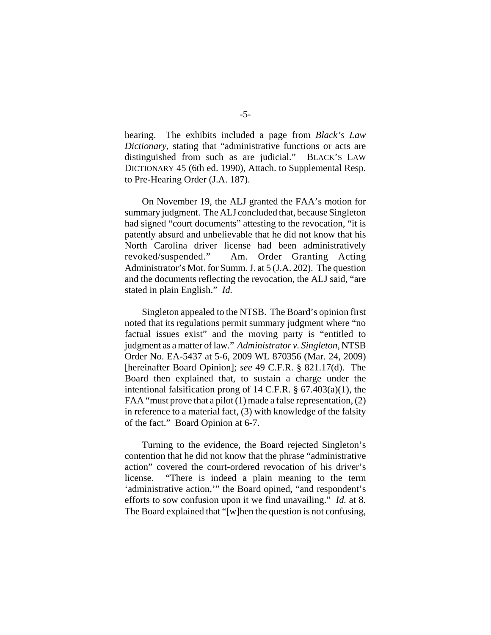hearing. The exhibits included a page from *Black's Law Dictionary*, stating that "administrative functions or acts are distinguished from such as are judicial." BLACK'S LAW DICTIONARY 45 (6th ed. 1990), Attach. to Supplemental Resp. to Pre-Hearing Order (J.A. 187).

On November 19, the ALJ granted the FAA's motion for summary judgment. The ALJ concluded that, because Singleton had signed "court documents" attesting to the revocation, "it is patently absurd and unbelievable that he did not know that his North Carolina driver license had been administratively revoked/suspended." Am. Order Granting Acting Administrator's Mot. for Summ. J. at 5 (J.A. 202). The question and the documents reflecting the revocation, the ALJ said, "are stated in plain English." *Id.*

Singleton appealed to the NTSB. The Board's opinion first noted that its regulations permit summary judgment where "no factual issues exist" and the moving party is "entitled to judgment as a matter of law." *Administrator v. Singleton*, NTSB Order No. EA-5437 at 5-6, 2009 WL 870356 (Mar. 24, 2009) [hereinafter Board Opinion]; *see* 49 C.F.R. § 821.17(d). The Board then explained that, to sustain a charge under the intentional falsification prong of 14 C.F.R. § 67.403(a)(1), the FAA "must prove that a pilot (1) made a false representation, (2) in reference to a material fact, (3) with knowledge of the falsity of the fact." Board Opinion at 6-7.

Turning to the evidence, the Board rejected Singleton's contention that he did not know that the phrase "administrative action" covered the court-ordered revocation of his driver's license. "There is indeed a plain meaning to the term 'administrative action,'" the Board opined, "and respondent's efforts to sow confusion upon it we find unavailing." *Id.* at 8. The Board explained that "[w]hen the question is not confusing,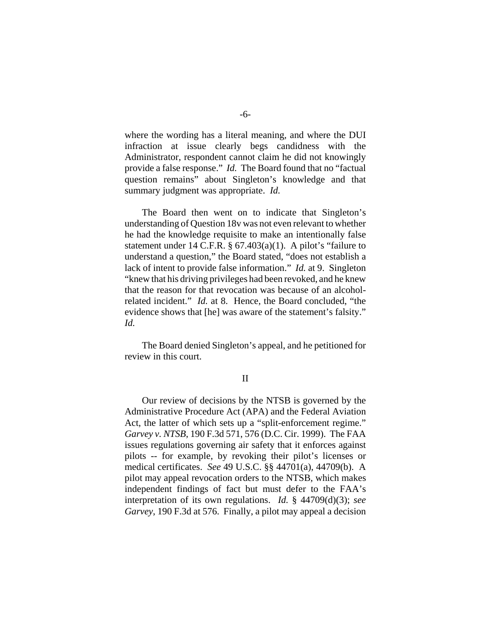where the wording has a literal meaning, and where the DUI infraction at issue clearly begs candidness with the Administrator, respondent cannot claim he did not knowingly provide a false response." *Id.* The Board found that no "factual question remains" about Singleton's knowledge and that summary judgment was appropriate. *Id.*

The Board then went on to indicate that Singleton's understanding of Question 18v was not even relevant to whether he had the knowledge requisite to make an intentionally false statement under 14 C.F.R.  $\S$  67.403(a)(1). A pilot's "failure to understand a question," the Board stated, "does not establish a lack of intent to provide false information." *Id.* at 9. Singleton "knew that his driving privileges had been revoked, and he knew that the reason for that revocation was because of an alcoholrelated incident." *Id.* at 8. Hence, the Board concluded, "the evidence shows that [he] was aware of the statement's falsity." *Id.*

The Board denied Singleton's appeal, and he petitioned for review in this court.

II

Our review of decisions by the NTSB is governed by the Administrative Procedure Act (APA) and the Federal Aviation Act, the latter of which sets up a "split-enforcement regime." *Garvey v. NTSB*, 190 F.3d 571, 576 (D.C. Cir. 1999). The FAA issues regulations governing air safety that it enforces against pilots -- for example, by revoking their pilot's licenses or medical certificates. *See* 49 U.S.C. §§ 44701(a), 44709(b). A pilot may appeal revocation orders to the NTSB, which makes independent findings of fact but must defer to the FAA's interpretation of its own regulations. *Id.* § 44709(d)(3); *see Garvey*, 190 F.3d at 576. Finally, a pilot may appeal a decision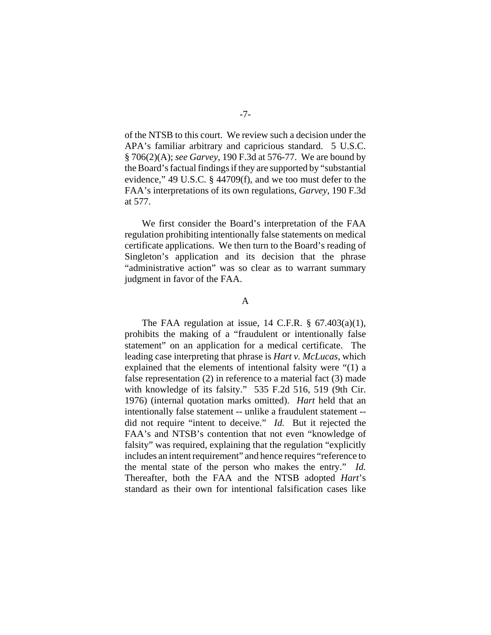of the NTSB to this court. We review such a decision under the APA's familiar arbitrary and capricious standard. 5 U.S.C. § 706(2)(A); *see Garvey*, 190 F.3d at 576-77. We are bound by the Board's factual findings if they are supported by "substantial evidence," 49 U.S.C. § 44709(f), and we too must defer to the FAA's interpretations of its own regulations, *Garvey*, 190 F.3d at 577.

We first consider the Board's interpretation of the FAA regulation prohibiting intentionally false statements on medical certificate applications. We then turn to the Board's reading of Singleton's application and its decision that the phrase "administrative action" was so clear as to warrant summary judgment in favor of the FAA.

## A

The FAA regulation at issue, 14 C.F.R.  $\S$  67.403(a)(1), prohibits the making of a "fraudulent or intentionally false statement" on an application for a medical certificate. The leading case interpreting that phrase is *Hart v. McLucas*, which explained that the elements of intentional falsity were "(1) a false representation (2) in reference to a material fact (3) made with knowledge of its falsity." 535 F.2d 516, 519 (9th Cir. 1976) (internal quotation marks omitted). *Hart* held that an intentionally false statement -- unlike a fraudulent statement - did not require "intent to deceive." *Id.* But it rejected the FAA's and NTSB's contention that not even "knowledge of falsity" was required, explaining that the regulation "explicitly includes an intent requirement" and hence requires "reference to the mental state of the person who makes the entry." *Id.* Thereafter, both the FAA and the NTSB adopted *Hart*'s standard as their own for intentional falsification cases like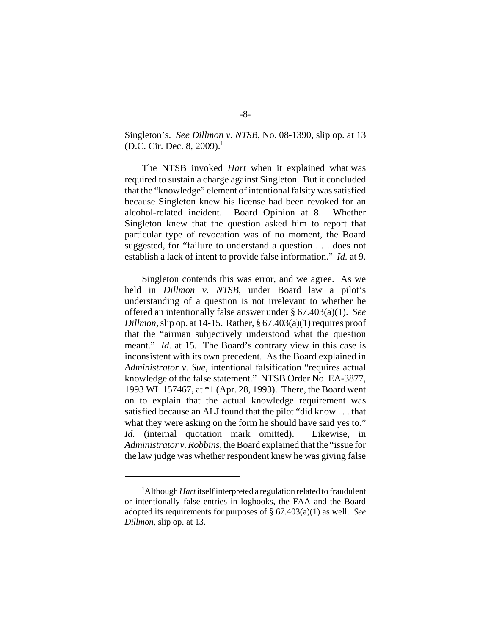Singleton's. *See Dillmon v. NTSB*, No. 08-1390, slip op. at 13 (D.C. Cir. Dec. 8, 2009).<sup>1</sup>

 The NTSB invoked *Hart* when it explained what was required to sustain a charge against Singleton. But it concluded that the "knowledge" element of intentional falsity was satisfied because Singleton knew his license had been revoked for an alcohol-related incident. Board Opinion at 8. Whether Singleton knew that the question asked him to report that particular type of revocation was of no moment, the Board suggested, for "failure to understand a question . . . does not establish a lack of intent to provide false information." *Id.* at 9.

Singleton contends this was error, and we agree. As we held in *Dillmon v. NTSB*, under Board law a pilot's understanding of a question is not irrelevant to whether he offered an intentionally false answer under § 67.403(a)(1). *See Dillmon,* slip op. at 14-15. Rather, § 67.403(a)(1) requires proof that the "airman subjectively understood what the question meant." *Id.* at 15. The Board's contrary view in this case is inconsistent with its own precedent. As the Board explained in *Administrator v. Sue*, intentional falsification "requires actual knowledge of the false statement." NTSB Order No. EA-3877, 1993 WL 157467, at \*1 (Apr. 28, 1993). There, the Board went on to explain that the actual knowledge requirement was satisfied because an ALJ found that the pilot "did know . . . that what they were asking on the form he should have said yes to." *Id.* (internal quotation mark omitted). Likewise, in *Administrator v. Robbins*, the Board explained that the "issue for the law judge was whether respondent knew he was giving false

<sup>&</sup>lt;sup>1</sup>Although *Hart* itself interpreted a regulation related to fraudulent or intentionally false entries in logbooks, the FAA and the Board adopted its requirements for purposes of § 67.403(a)(1) as well. *See Dillmon*, slip op. at 13.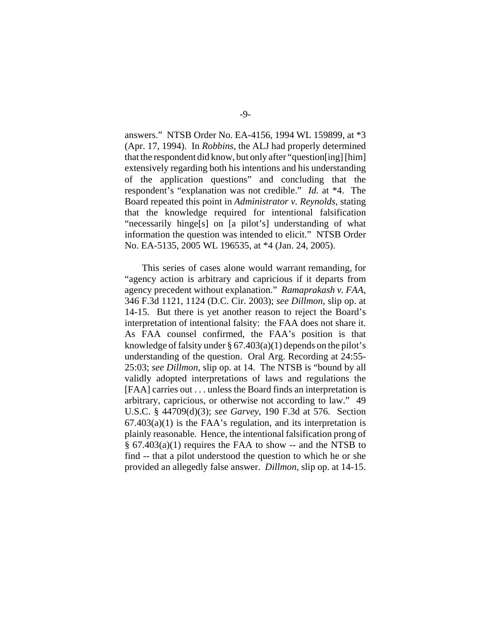answers." NTSB Order No. EA-4156, 1994 WL 159899, at \*3 (Apr. 17, 1994). In *Robbins*, the ALJ had properly determined that the respondent did know, but only after "question[ing] [him] extensively regarding both his intentions and his understanding of the application questions" and concluding that the respondent's "explanation was not credible." *Id.* at \*4. The Board repeated this point in *Administrator v. Reynolds*, stating that the knowledge required for intentional falsification "necessarily hinge[s] on [a pilot's] understanding of what information the question was intended to elicit." NTSB Order No. EA-5135, 2005 WL 196535, at \*4 (Jan. 24, 2005).

 This series of cases alone would warrant remanding, for "agency action is arbitrary and capricious if it departs from agency precedent without explanation." *Ramaprakash v. FAA*, 346 F.3d 1121, 1124 (D.C. Cir. 2003); *see Dillmon*, slip op. at 14-15. But there is yet another reason to reject the Board's interpretation of intentional falsity: the FAA does not share it. As FAA counsel confirmed, the FAA's position is that knowledge of falsity under  $\S 67.403(a)(1)$  depends on the pilot's understanding of the question. Oral Arg. Recording at 24:55- 25:03; *see Dillmon*, slip op. at 14. The NTSB is "bound by all validly adopted interpretations of laws and regulations the [FAA] carries out . . . unless the Board finds an interpretation is arbitrary, capricious, or otherwise not according to law." 49 U.S.C. § 44709(d)(3); *see Garvey*, 190 F.3d at 576. Section  $67.403(a)(1)$  is the FAA's regulation, and its interpretation is plainly reasonable. Hence, the intentional falsification prong of § 67.403(a)(1) requires the FAA to show -- and the NTSB to find -- that a pilot understood the question to which he or she provided an allegedly false answer. *Dillmon*, slip op. at 14-15.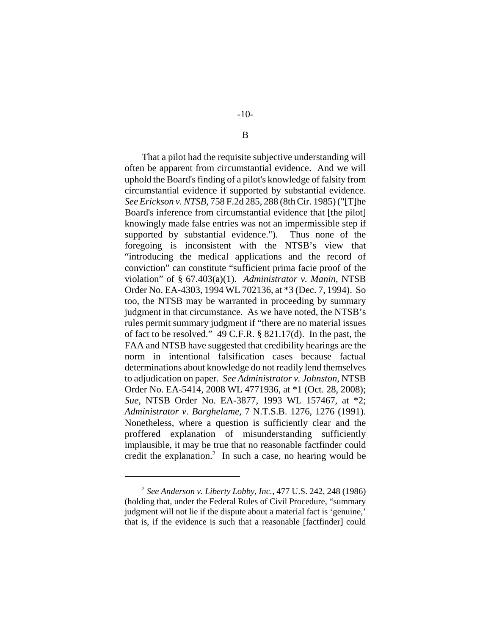That a pilot had the requisite subjective understanding will often be apparent from circumstantial evidence. And we will uphold the Board's finding of a pilot's knowledge of falsity from circumstantial evidence if supported by substantial evidence. *See Erickson v. NTSB*, 758 F.2d 285, 288 (8th Cir. 1985) ("[T]he Board's inference from circumstantial evidence that [the pilot] knowingly made false entries was not an impermissible step if supported by substantial evidence."). Thus none of the foregoing is inconsistent with the NTSB's view that "introducing the medical applications and the record of conviction" can constitute "sufficient prima facie proof of the violation" of § 67.403(a)(1). *Administrator v. Manin*, NTSB Order No. EA-4303, 1994 WL 702136, at \*3 (Dec. 7, 1994). So too, the NTSB may be warranted in proceeding by summary judgment in that circumstance. As we have noted, the NTSB's rules permit summary judgment if "there are no material issues of fact to be resolved." 49 C.F.R. § 821.17(d). In the past, the FAA and NTSB have suggested that credibility hearings are the norm in intentional falsification cases because factual determinations about knowledge do not readily lend themselves to adjudication on paper. *See Administrator v. Johnston*, NTSB Order No. EA-5414, 2008 WL 4771936, at \*1 (Oct. 28, 2008); *Sue*, NTSB Order No. EA-3877, 1993 WL 157467, at \*2; *Administrator v. Barghelame*, 7 N.T.S.B. 1276, 1276 (1991). Nonetheless, where a question is sufficiently clear and the proffered explanation of misunderstanding sufficiently implausible, it may be true that no reasonable factfinder could credit the explanation.<sup>2</sup> In such a case, no hearing would be

## B

<sup>2</sup> *See Anderson v. Liberty Lobby, Inc.*, 477 U.S. 242, 248 (1986) (holding that, under the Federal Rules of Civil Procedure, "summary judgment will not lie if the dispute about a material fact is 'genuine,' that is, if the evidence is such that a reasonable [factfinder] could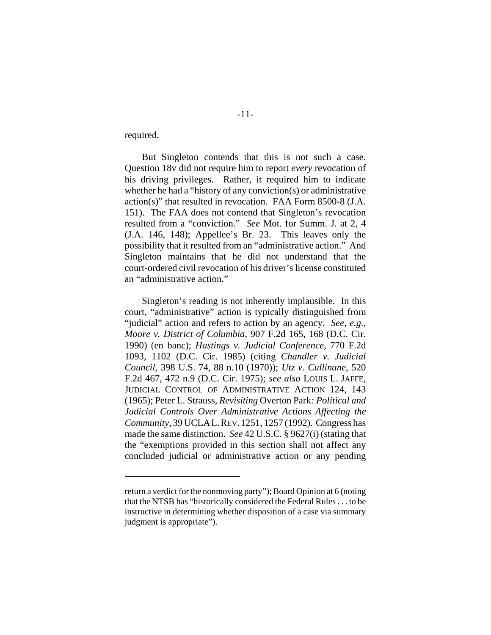required.

But Singleton contends that this is not such a case. Question 18v did not require him to report *every* revocation of his driving privileges. Rather, it required him to indicate whether he had a "history of any conviction(s) or administrative action(s)" that resulted in revocation. FAA Form 8500-8 (J.A. 151). The FAA does not contend that Singleton's revocation resulted from a "conviction." *See* Mot. for Summ. J. at 2, 4 (J.A. 146, 148); Appellee's Br. 23. This leaves only the possibility that it resulted from an "administrative action." And Singleton maintains that he did not understand that the court-ordered civil revocation of his driver's license constituted an "administrative action."

Singleton's reading is not inherently implausible. In this court, "administrative" action is typically distinguished from "judicial" action and refers to action by an agency. *See, e.g.*, *Moore v. District of Columbia*, 907 F.2d 165, 168 (D.C. Cir. 1990) (en banc); *Hastings v. Judicial Conference*, 770 F.2d 1093, 1102 (D.C. Cir. 1985) (citing *Chandler v. Judicial Council*, 398 U.S. 74, 88 n.10 (1970)); *Utz v. Cullinane*, 520 F.2d 467, 472 n.9 (D.C. Cir. 1975); *see also* LOUIS L. JAFFE, JUDICIAL CONTROL OF ADMINISTRATIVE ACTION 124, 143 (1965); Peter L. Strauss, *Revisiting* Overton Park*: Political and Judicial Controls Over Administrative Actions Affecting the Community*, 39 UCLAL.REV.1251, 1257 (1992). Congress has made the same distinction. *See* 42 U.S.C. § 9627(i) (stating that the "exemptions provided in this section shall not affect any concluded judicial or administrative action or any pending

return a verdict for the nonmoving party"); Board Opinion at 6 (noting that the NTSB has "historically considered the Federal Rules . . . to be instructive in determining whether disposition of a case via summary judgment is appropriate").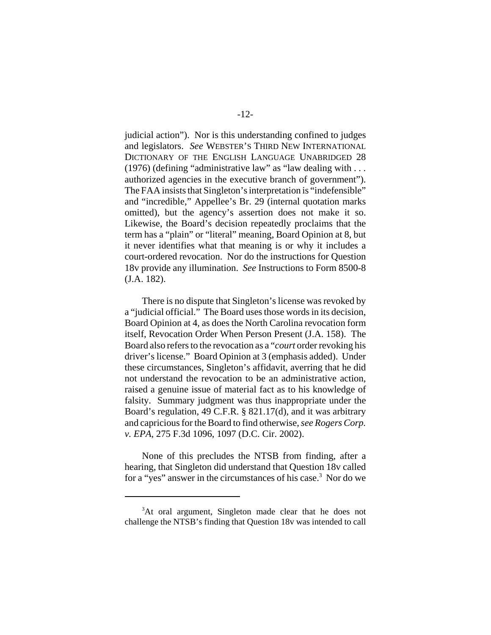judicial action"). Nor is this understanding confined to judges and legislators. *See* WEBSTER'S THIRD NEW INTERNATIONAL DICTIONARY OF THE ENGLISH LANGUAGE UNABRIDGED 28 (1976) (defining "administrative law" as "law dealing with . . . authorized agencies in the executive branch of government"). The FAA insists that Singleton's interpretation is "indefensible" and "incredible," Appellee's Br. 29 (internal quotation marks omitted), but the agency's assertion does not make it so. Likewise, the Board's decision repeatedly proclaims that the term has a "plain" or "literal" meaning, Board Opinion at 8, but it never identifies what that meaning is or why it includes a court-ordered revocation. Nor do the instructions for Question 18v provide any illumination. *See* Instructions to Form 8500-8 (J.A. 182).

There is no dispute that Singleton's license was revoked by a "judicial official." The Board uses those words in its decision, Board Opinion at 4, as does the North Carolina revocation form itself, Revocation Order When Person Present (J.A. 158). The Board also refers to the revocation as a "*court* order revoking his driver's license." Board Opinion at 3 (emphasis added). Under these circumstances, Singleton's affidavit, averring that he did not understand the revocation to be an administrative action, raised a genuine issue of material fact as to his knowledge of falsity. Summary judgment was thus inappropriate under the Board's regulation, 49 C.F.R. § 821.17(d), and it was arbitrary and capricious for the Board to find otherwise, *see Rogers Corp. v. EPA*, 275 F.3d 1096, 1097 (D.C. Cir. 2002).

None of this precludes the NTSB from finding, after a hearing, that Singleton did understand that Question 18v called for a "yes" answer in the circumstances of his case.<sup>3</sup> Nor do we

<sup>&</sup>lt;sup>3</sup>At oral argument, Singleton made clear that he does not challenge the NTSB's finding that Question 18v was intended to call